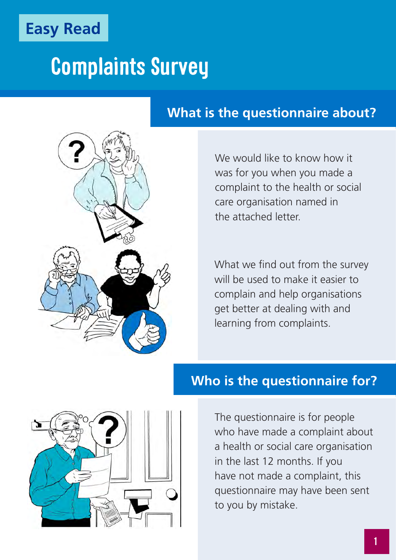

## **Complaints Survey**

#### **What is the questionnaire about?**



We would like to know how it was for you when you made a complaint to the health or social care organisation named in the attached letter.

What we find out from the survey will be used to make it easier to complain and help organisations get better at dealing with and learning from complaints.



#### **Who is the questionnaire for?**

The questionnaire is for people who have made a complaint about a health or social care organisation in the last 12 months. If you have not made a complaint, this questionnaire may have been sent to you by mistake.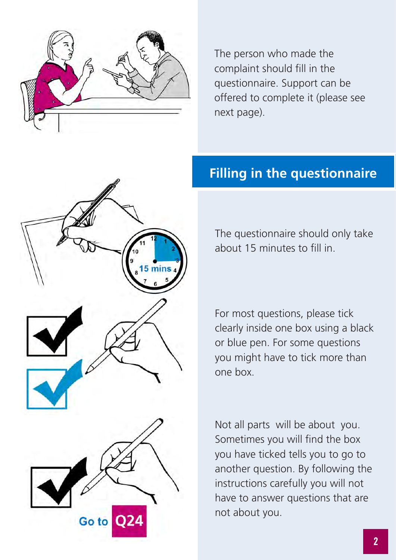

The person who made the complaint should fill in the questionnaire. Support can be offered to complete it (please see next page).



#### **Filling in the questionnaire**

The questionnaire should only take about 15 minutes to fill in.

For most questions, please tick clearly inside one box using a black or blue pen. For some questions you might have to tick more than one box.

Not all parts will be about you. Sometimes you will find the box you have ticked tells you to go to another question. By following the instructions carefully you will not have to answer questions that are not about you.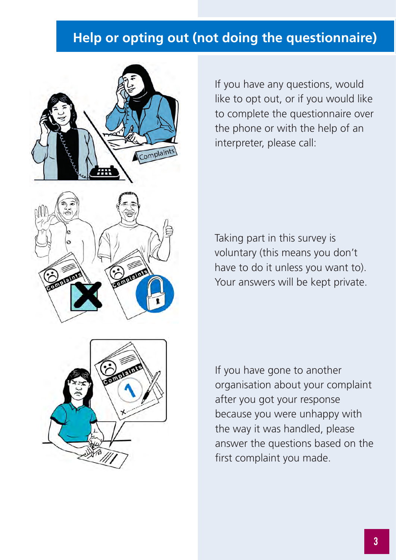#### **Help or opting out (not doing the questionnaire)**



If you have any questions, would like to opt out, or if you would like to complete the questionnaire over the phone or with the help of an interpreter, please call:

Taking part in this survey is voluntary (this means you don't have to do it unless you want to). Your answers will be kept private.



If you have gone to another organisation about your complaint after you got your response because you were unhappy with the way it was handled, please answer the questions based on the first complaint you made.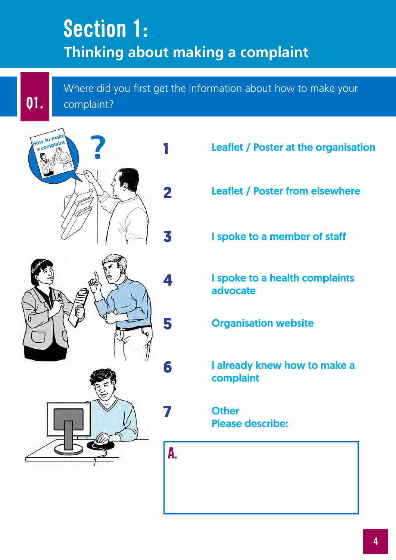### **Section 1: Thinking about making a complaint**

Where did you first get the information about how to make your **Q1.** complaint?



- Leaflet / Poster at the organisation
- Leaflet / Poster from elsewhere
- I spoke to a member of staff
- I spoke to a health complaints advocate
- Organisation website

I already knew how to make a complaint

**Other** Please describe:

**A.**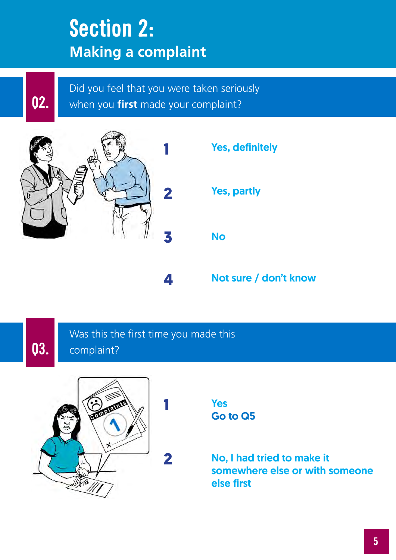### **Section 2: Making a complaint**

**Q2.**

Did you feel that you were taken seriously when you **first** made your complaint?





### **Q3.**

Was this the first time you made this complaint?

**4**

**1**

**2**



Yes Go to Q5

No, I had tried to make it somewhere else or with someone else first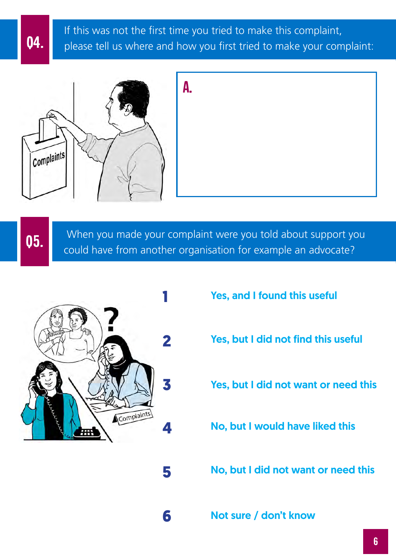If this was not the first time you tried to make this complaint, **Q4.** please tell us where and how you first tried to make your complaint:





 When you made your complaint were you told about support you **05.** Writing you made your complaint were you told about support you could have from another organisation for example an advocate?



**5**

**6**

- Yes, and I found this useful
- Yes, but I did not find this useful
- Yes, but I did not want or need this
- No, but I would have liked this
- No, but I did not want or need this
- Not sure / don't know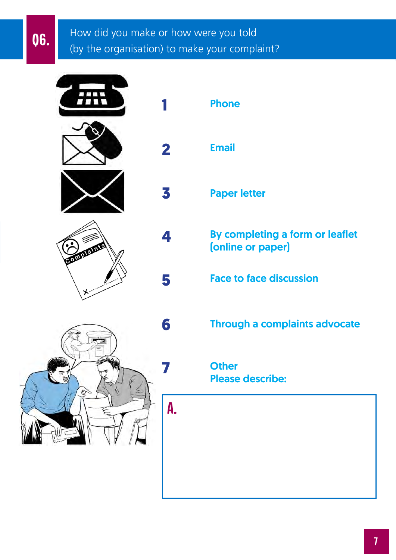#### How did you make or how were you told **06.** How did you make or how were you told to the organisation) to make your complaint?

|  | 71 V.<br>$\sqrt{1}$ |  |
|--|---------------------|--|
|  |                     |  |
|  |                     |  |
|  |                     |  |
|  |                     |  |

 $\blacksquare$ 





|             | <b>Phone</b>                                         |
|-------------|------------------------------------------------------|
| $\mathbf 2$ | <b>Email</b>                                         |
| 3           | <b>Paper letter</b>                                  |
| 4           | By completing a form or leaflet<br>(online or paper) |
| 5           | <b>Face to face discussion</b>                       |
| 6           | <b>Through a complaints advocate</b>                 |
|             | <b>Other</b><br><b>Please describe:</b>              |
| A.          |                                                      |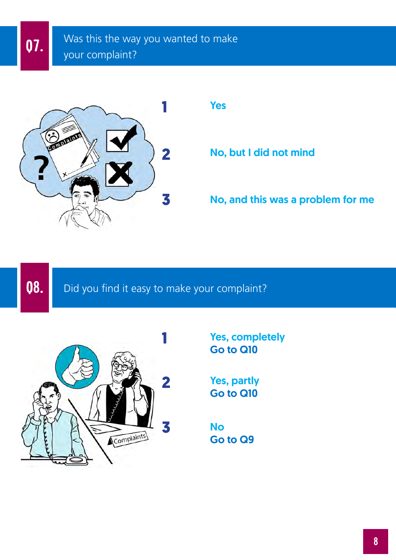

**2** No, but I did not mind

No, and this was a problem for me

**Q8.** Did you find it easy to make your complaint?



Yes, completely Go to Q10

Yes, partly Go to Q10

No Go to Q9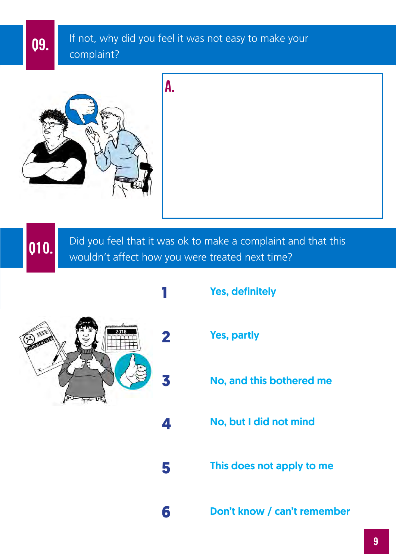If not, why did you feel it was not easy to make your **Q9.** If not, why complaint?

**A.**



Did you feel that it was ok to make a complaint and that this **Q10.** Did you feel that it was ok to make a complaint a **Q10.** Wouldn't affect how you were treated next time?

**5**

**6**



- Yes, definitely
- Yes, partly
	- No, and this bothered me
- No, but I did not mind
- This does not apply to me
- Don't know / can't remember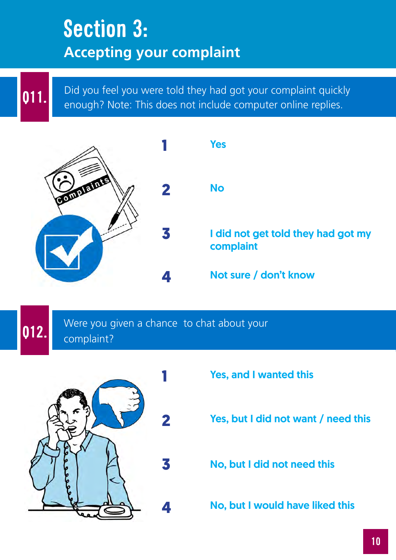### **Section 3: Accepting your complaint**

**Q11.** Did you feel you were told they had got your complaint quickly enough? Note: This does not include computer online replies.



#### Were you given a chance to chat about your **Q12.** complaint?



- Yes, and I wanted this
- Yes, but I did not want / need this
- No, but I did not need this
- No, but I would have liked this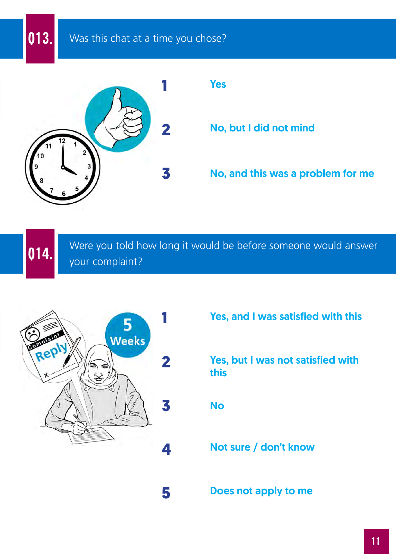**Q13.** Was this chat at a time you chose?



#### Yes

No, but I did not mind

No, and this was a problem for me

Were you told how long it would be before someone would answer **Q14.** your complaint?



Yes, and I was satisfied with this

Yes, but I was not satisfied with this

No

Not sure / don't know

**5**

Does not apply to me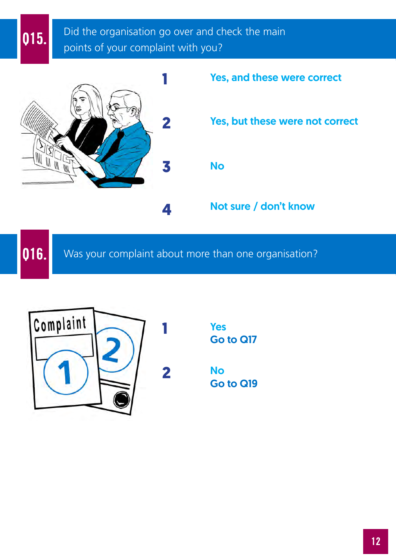Did the organisation go over and check the main **015.** Did the organisation go over and change the points of your complaint with you?





**Q16.** Was your complaint about more than one organisation?



**2**

**1**

Yes Go to Q17

No Go to Q19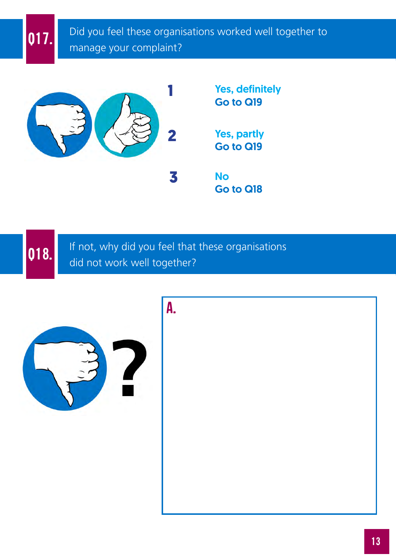Did you feel these organisations worked well together to **Q17.** Did you feel these organisable.



If not, why did you feel that these organisations **Q18.** If not, why did you feel that did not work well together?

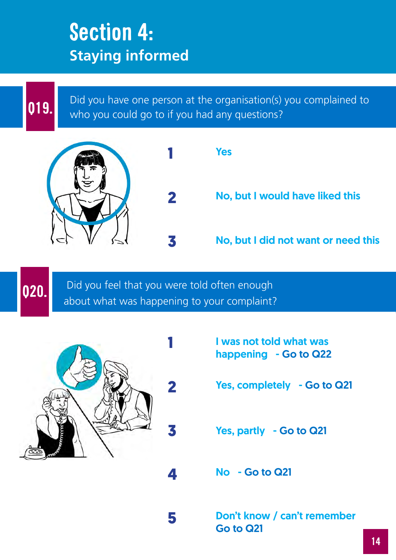### **Section 4: Staying informed**

**Q19.** Did you have one person at the organisation(s) you complained to who you could go to if you had any questions? who you could go to if you had any questions?



 Did you feel that you were told often enough **020.** Did you feel that you were told often enough about what was happening to your complaint?

**4**

**5**



- I was not told what was happening - Go to Q22
- Yes, completely Go to Q21
- Yes, partly Go to Q21
- No Go to Q21

Don't know / can't remember Go to Q21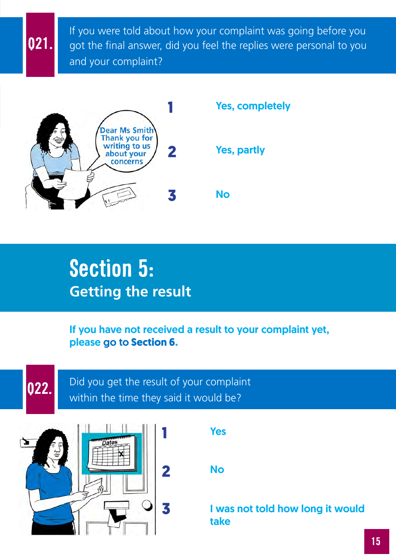If you were told about how your complaint was going before you got the final answer, did you feel the replies were personal to you and your complaint?



### **Section 5: Getting the result**

If you have not received a result to your complaint yet, please go to **Section 6.**

Yes **1**



**Q21.**

Did you get the result of your complaint **022.** Did you get the result of your complaint **022.** Writhin the time they said it would be?



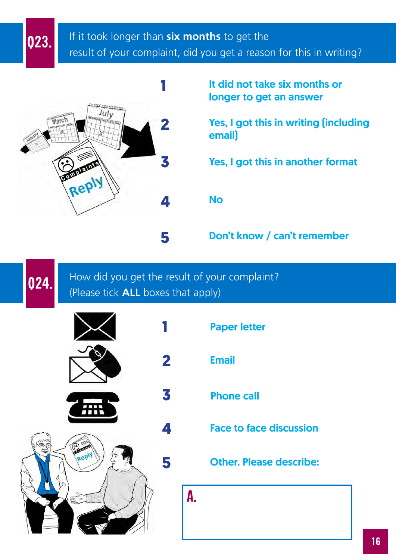#### If it took longer than **six months** to get the **023.** If it took longer than **six months** to get the<br>**Q23.** result of your complaint, did you get a reason for this in writing?



It did not take six months or longer to get an answer

Yes, I got this in writing (including email)

**3** Yes, I got this in another format

**5** Don't know / can't remember

How did you get the result of your complaint? **(24.** How did you get the result of you<br>(Please tick **ALL** boxes that apply)



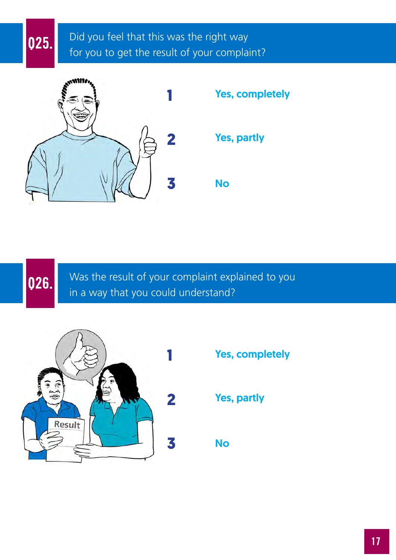#### Did you feel that this was the right way **Q25.** Did you feel that this was the right way<br>for you to get the result of your complaint?







Was the result of your complaint explained to you **Q26.** Was the result of your complaint exp in a way that you could understand?



Yes, completely

Yes, partly

No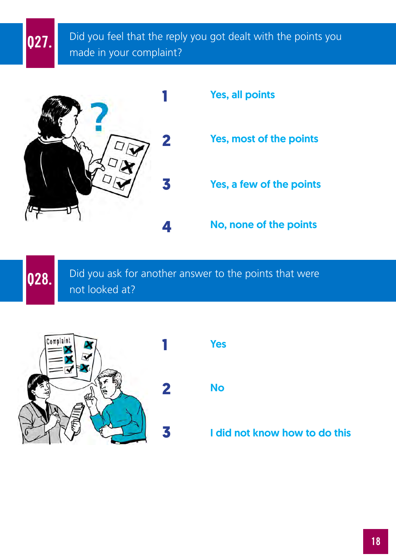Did you feel that the reply you got dealt with the points you **027.** Did you feel that the reply made in your complaint?



Yes, a few of the points Yes, all points Yes, most of the points

**4** No, none of the points

Did you ask for another answer to the points that were **028.** Did you ask for Did you ask for

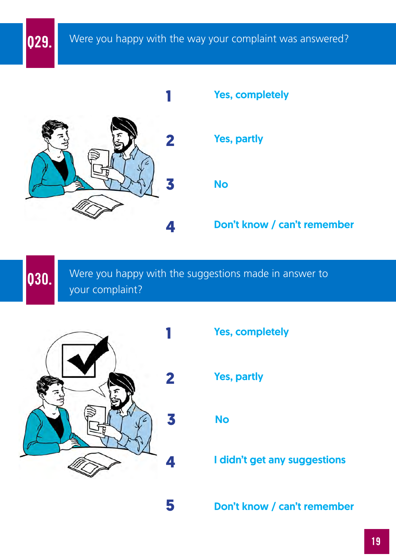

Were you happy with the suggestions made in answer to **030.** Were you happy your complaint?



- Yes, completely
- Yes, partly

No

**1 didn't get any suggestions** 

Don't know / can't remember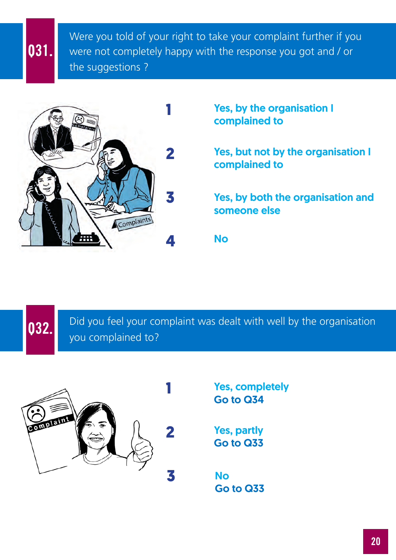Were you told of your right to take your complaint further if you were not completely happy with the response you got and / or the suggestions ? **Q31.**



Yes, by the organisation I complained to

Yes, but not by the organisation I complained to

Yes, by both the organisation and someone else

No

Did you feel your complaint was dealt with well by the organisation **Q32.** you complained to?

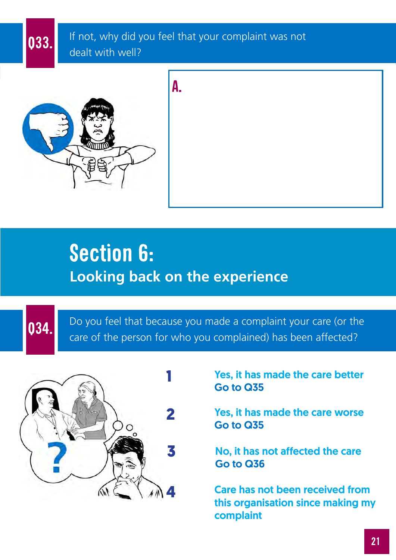If not, why did you feel that your complaint was not **Q33.** If not, why did y dealt with well?





### **Section 6: Looking back on the experience**

Do you feel that because you made a complaint your care (or the **034.** Do you feel that because you made a complaint your care (or the person for who you complained) has been affected?



Yes, it has made the care better Go to Q35

Yes, it has made the care worse Go to Q35

No, it has not affected the care Go to Q36

Care has not been received from this organisation since making my complaint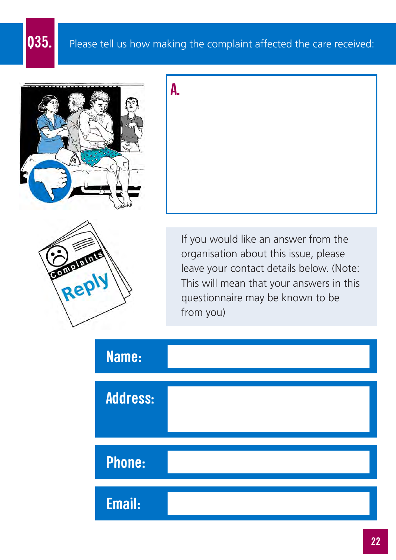### **Q35.** Please tell us how making the complaint affected the care received:



**A.**





If you would like an answer from the organisation about this issue, please leave your contact details below. (Note: This will mean that your answers in this questionnaire may be known to be from you)

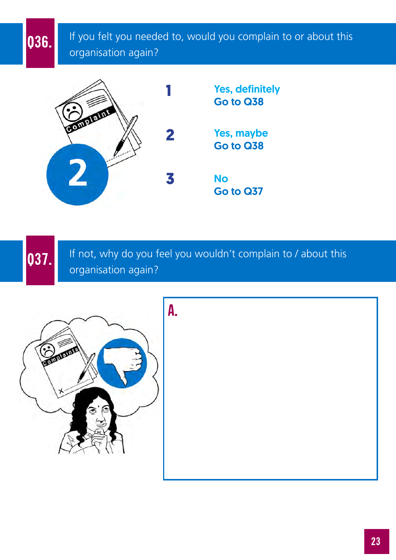If you felt you needed to, would you complain to or about this **036.** If you felt you needer organisation again?



If not, why do you feel you wouldn't complain to / about this **037.** If not, why do you for example the organisation again?



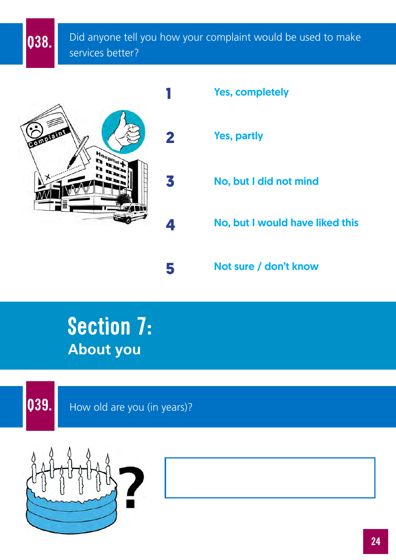Did anyone tell you how your complaint would be used to make **038.** Did anyone tell services better?



Yes, completely

Yes, partly

No, but I did not mind

No, but I would have liked this

Not sure / don't know

### **Section 7: About you**



**Q39.** How old are you (in years)?

**5**

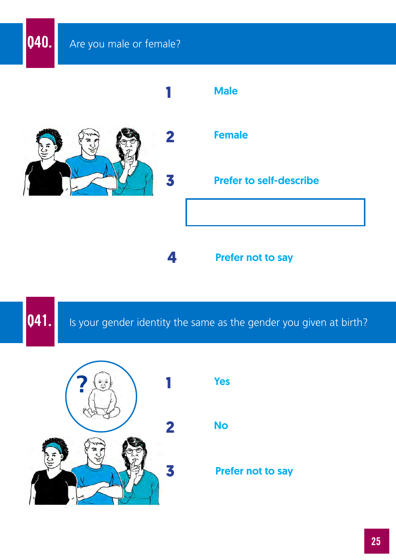### **Q40.** Are you male or female?



**Q41.** Is your gender identity the same as the gender you given at birth?

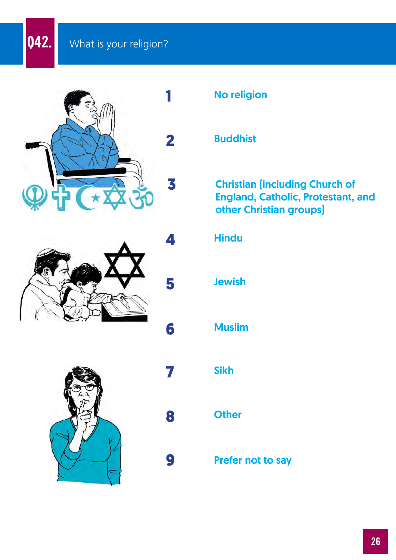**Q42.** What is your religion?







No religion

#### **Buddhist**

#### Christian (including Church of England, Catholic, Protestant, and other Christian groups)

# **6** Muslim **Hindu** Jewish

Sikh

#### **Other**

**7**

**4**

**5**

**8**

**9**

Prefer not to say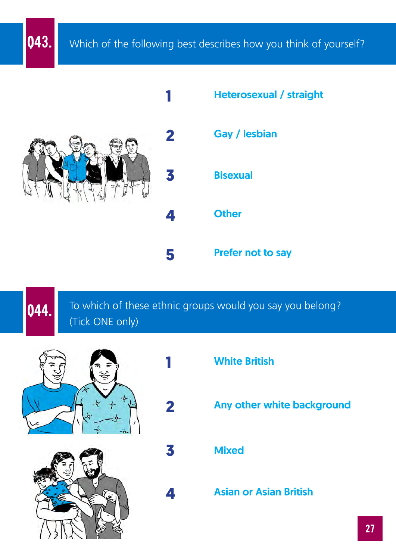**Q43.** Which of the following best describes how you think of yourself?



**1**

**2**

**3**

**4**



To which of these ethnic groups would you say you belong? **044.** To which of the Tick ONE only)





- White British
	- Any other white background
- **Mixed** 
	- Asian or Asian British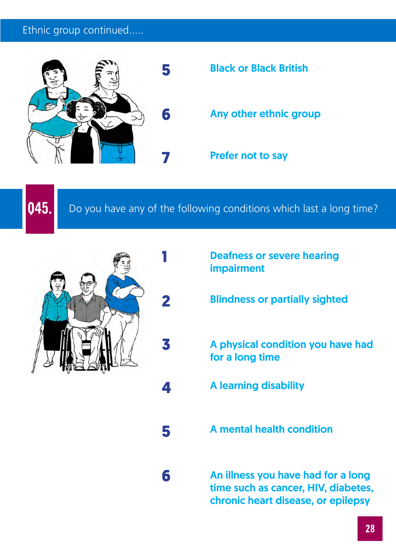#### Ethnic group continued.....



**1**

**2**

**3**

**4**

**5**

**6**

**Q45.** Do you have any of the following conditions which last a long time?



- Deafness or severe hearing impairment
- Blindness or partially sighted
- A physical condition you have had for a long time
- A learning disability
- A mental health condition

An illness you have had for a long time such as cancer, HIV, diabetes, chronic heart disease, or epilepsy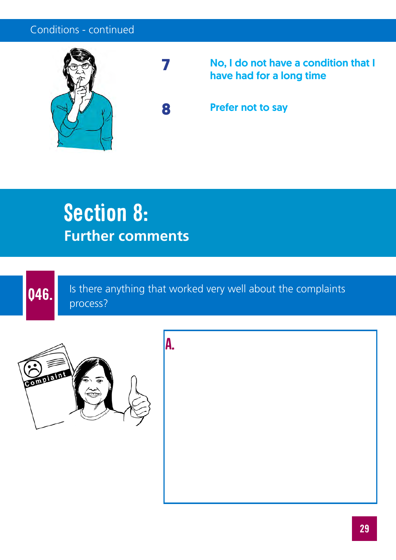#### Conditions - continued



**7**

No, I do not have a condition that I have had for a long time

**8** Prefer not to say

### **Section 8: Further comments**



Is there anything that worked very well about the complaints **Q46.** Is there a process?